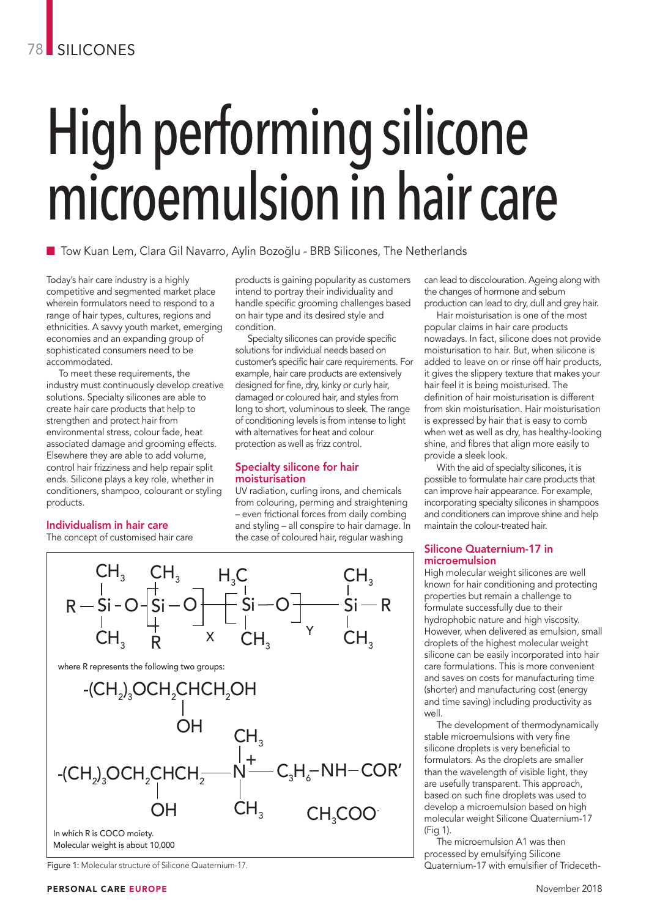# High performing silicone microemulsion in hair care

■ Tow Kuan Lem, Clara Gil Navarro, Aylin Bozoğlu - BRB Silicones, The Netherlands

Today's hair care industry is a highly competitive and segmented market place wherein formulators need to respond to a range of hair types, cultures, regions and ethnicities. A savvy youth market, emerging economies and an expanding group of sophisticated consumers need to be accommodated.

To meet these requirements, the industry must continuously develop creative solutions. Specialty silicones are able to create hair care products that help to strengthen and protect hair from environmental stress, colour fade, heat associated damage and grooming effects. Elsewhere they are able to add volume, control hair frizziness and help repair split ends. Silicone plays a key role, whether in conditioners, shampoo, colourant or styling products.

# Individualism in hair care

The concept of customised hair care

products is gaining popularity as customers intend to portray their individuality and handle specific grooming challenges based on hair type and its desired style and condition.

Specialty silicones can provide specific solutions for individual needs based on customer's specific hair care requirements. For example, hair care products are extensively designed for fine, dry, kinky or curly hair, damaged or coloured hair, and styles from long to short, voluminous to sleek. The range of conditioning levels is from intense to light with alternatives for heat and colour protection as well as frizz control.

# Specialty silicone for hair moisturisation

UV radiation, curling irons, and chemicals from colouring, perming and straightening – even frictional forces from daily combing and styling – all conspire to hair damage. In the case of coloured hair, regular washing

can lead to discolouration. Ageing along with the changes of hormone and sebum production can lead to dry, dull and grey hair.

Hair moisturisation is one of the most popular claims in hair care products nowadays. In fact, silicone does not provide moisturisation to hair. But, when silicone is added to leave on or rinse off hair products, it gives the slippery texture that makes your hair feel it is being moisturised. The definition of hair moisturisation is different from skin moisturisation. Hair moisturisation is expressed by hair that is easy to comb when wet as well as dry, has healthy-looking shine, and fibres that align more easily to provide a sleek look.

With the aid of specialty silicones, it is possible to formulate hair care products that can improve hair appearance. For example, incorporating specialty silicones in shampoos and conditioners can improve shine and help maintain the colour-treated hair.

# Silicone Quaternium-17 in microemulsion

High molecular weight silicones are well known for hair conditioning and protecting properties but remain a challenge to formulate successfully due to their hydrophobic nature and high viscosity. However, when delivered as emulsion, small droplets of the highest molecular weight silicone can be easily incorporated into hair care formulations. This is more convenient and saves on costs for manufacturing time (shorter) and manufacturing cost (energy and time saving) including productivity as well.

The development of thermodynamically stable microemulsions with very fine silicone droplets is very beneficial to formulators. As the droplets are smaller than the wavelength of visible light, they are usefully transparent. This approach, based on such fine droplets was used to develop a microemulsion based on high molecular weight Silicone Quaternium-17 (Fig 1).

The microemulsion A1 was then processed by emulsifying Silicone Figure 1: Molecular structure of Silicone Quaternium-17. Quaternium-17 with emulsifier of Trideceth-

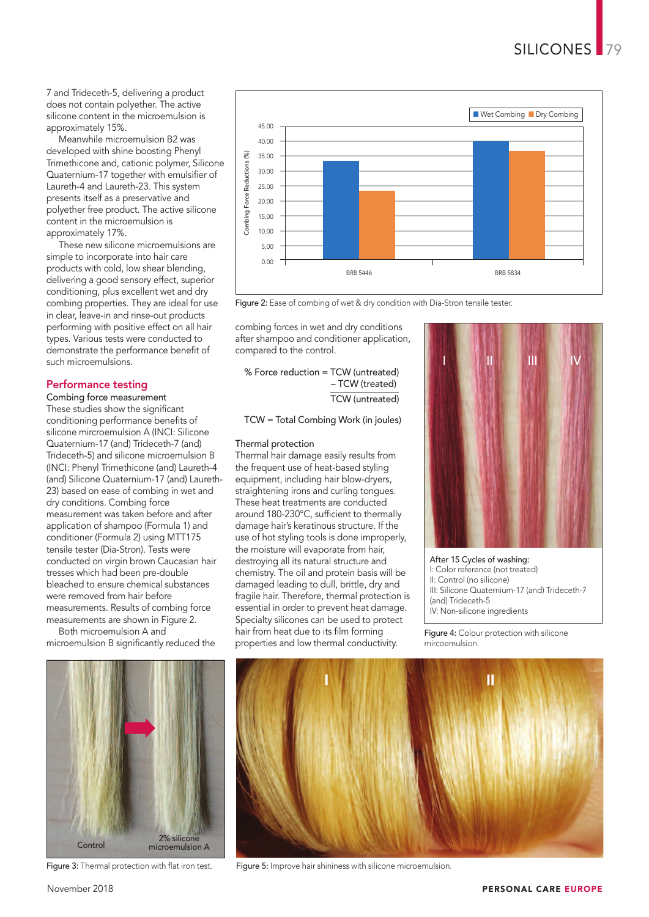7 and Trideceth-5, delivering a product does not contain polyether. The active silicone content in the microemulsion is approximately 15%.

Meanwhile microemulsion B2 was developed with shine boosting Phenyl Trimethicone and, cationic polymer, Silicone Quaternium-17 together with emulsifier of Laureth-4 and Laureth-23. This system presents itself as a preservative and polyether free product. The active silicone content in the microemulsion is approximately 17%.

These new silicone microemulsions are simple to incorporate into hair care products with cold, low shear blending, delivering a good sensory effect, superior conditioning, plus excellent wet and dry combing properties. They are ideal for use in clear, leave-in and rinse-out products performing with positive effect on all hair types. Various tests were conducted to demonstrate the performance benefit of such microemulsions.

# Performance testing

Combing force measurement These studies show the significant conditioning performance benefits of silicone mircroemulsion A (INCI: Silicone Quaternium-17 (and) Trideceth-7 (and) Trideceth-5) and silicone microemulsion B (INCI: Phenyl Trimethicone (and) Laureth-4 (and) Silicone Quaternium-17 (and) Laureth-23) based on ease of combing in wet and dry conditions. Combing force measurement was taken before and after application of shampoo (Formula 1) and conditioner (Formula 2) using MTT175 tensile tester (Dia-Stron). Tests were conducted on virgin brown Caucasian hair tresses which had been pre-double bleached to ensure chemical substances were removed from hair before measurements. Results of combing force measurements are shown in Figure 2. Both microemulsion A and

microemulsion B significantly reduced the



Figure 3: Thermal protection with flat iron test.



Figure 2: Ease of combing of wet & dry condition with Dia-Stron tensile tester.

combing forces in wet and dry conditions after shampoo and conditioner application, compared to the control.

% Force reduction = TCW (untreated) – TCW (treated) TCW (untreated)

TCW = Total Combing Work (in joules)

# Thermal protection

Thermal hair damage easily results from the frequent use of heat-based styling equipment, including hair blow-dryers, straightening irons and curling tongues. These heat treatments are conducted around 180-230°C, sufficient to thermally damage hair's keratinous structure. If the use of hot styling tools is done improperly, the moisture will evaporate from hair, destroying all its natural structure and chemistry. The oil and protein basis will be damaged leading to dull, brittle, dry and fragile hair. Therefore, thermal protection is essential in order to prevent heat damage. Specialty silicones can be used to protect hair from heat due to its film forming properties and low thermal conductivity.



After 15 Cycles of washing: I: Color reference (not treated) II: Control (no silicone) III: Silicone Quaternium-17 (and) Trideceth-7 (and) Trideceth-5 IV: Non-silicone ingredients

Figure 4: Colour protection with silicone mircoemulsion.



Figure 5: Improve hair shininess with silicone microemulsion.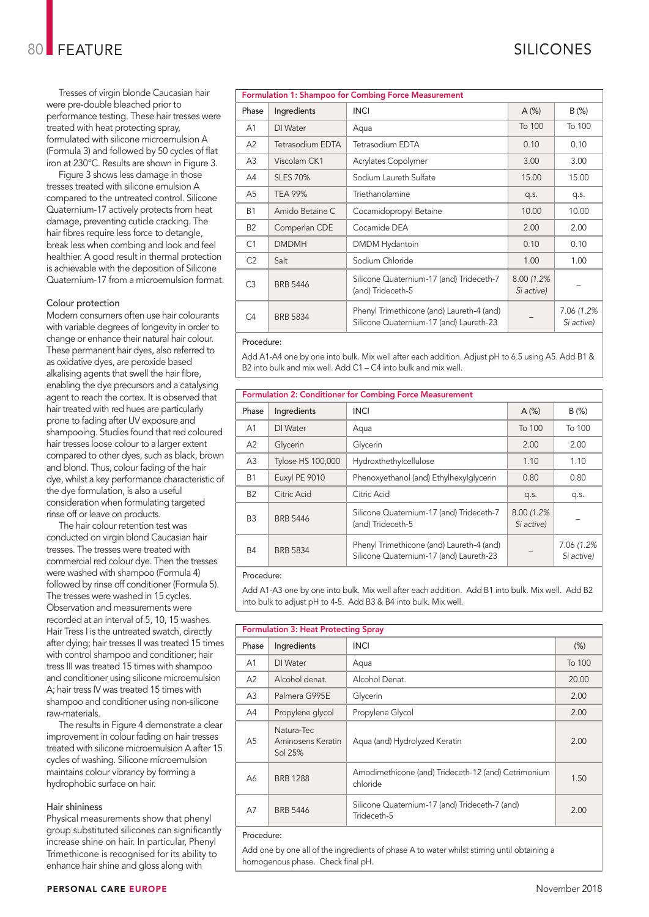Tresses of virgin blonde Caucasian hair were pre-double bleached prior to performance testing. These hair tresses were treated with heat protecting spray, formulated with silicone microemulsion A (Formula 3) and followed by 50 cycles of flat iron at 230°C. Results are shown in Figure 3.

Figure 3 shows less damage in those tresses treated with silicone emulsion A compared to the untreated control. Silicone Quaternium-17 actively protects from heat damage, preventing cuticle cracking. The hair fibres require less force to detangle, break less when combing and look and feel healthier. A good result in thermal protection is achievable with the deposition of Silicone Quaternium-17 from a microemulsion format.

# Colour protection

Modern consumers often use hair colourants with variable degrees of longevity in order to change or enhance their natural hair colour. These permanent hair dyes, also referred to as oxidative dyes, are peroxide based alkalising agents that swell the hair fibre, enabling the dye precursors and a catalysing agent to reach the cortex. It is observed that hair treated with red hues are particularly prone to fading after UV exposure and shampooing. Studies found that red coloured hair tresses loose colour to a larger extent compared to other dyes, such as black, brown and blond. Thus, colour fading of the hair dye, whilst a key performance characteristic of the dye formulation, is also a useful consideration when formulating targeted rinse off or leave on products.

The hair colour retention test was conducted on virgin blond Caucasian hair tresses. The tresses were treated with commercial red colour dye. Then the tresses were washed with shampoo (Formula 4) followed by rinse off conditioner (Formula 5). The tresses were washed in 15 cycles. Observation and measurements were recorded at an interval of 5, 10, 15 washes. Hair Tress I is the untreated swatch, directly after dying; hair tresses II was treated 15 times with control shampoo and conditioner; hair tress III was treated 15 times with shampoo and conditioner using silicone microemulsion A; hair tress IV was treated 15 times with shampoo and conditioner using non-silicone raw-materials.

The results in Figure 4 demonstrate a clear improvement in colour fading on hair tresses treated with silicone microemulsion A after 15 cycles of washing. Silicone microemulsion maintains colour vibrancy by forming a hydrophobic surface on hair.

# Hair shininess

Physical measurements show that phenyl group substituted silicones can significantly increase shine on hair. In particular, Phenyl Trimethicone is recognised for its ability to enhance hair shine and gloss along with

| <b>Formulation 1: Shampoo for Combing Force Measurement</b> |                  |                                                                                      |                           |                           |
|-------------------------------------------------------------|------------------|--------------------------------------------------------------------------------------|---------------------------|---------------------------|
| Phase                                                       | Ingredients      | <b>INCI</b>                                                                          | A(%)                      | B(%)                      |
| A1                                                          | DI Water         | Aqua                                                                                 | To 100                    | To 100                    |
| A2                                                          | Tetrasodium EDTA | Tetrasodium EDTA                                                                     | 0.10                      | 0.10                      |
| A <sub>3</sub>                                              | Viscolam CK1     | Acrylates Copolymer                                                                  | 3.00                      | 3.00                      |
| A4                                                          | <b>SLES 70%</b>  | Sodium Laureth Sulfate                                                               | 15.00                     | 15.00                     |
| A <sub>5</sub>                                              | <b>TEA 99%</b>   | Triethanolamine                                                                      | q.s.                      | q.s.                      |
| <b>B1</b>                                                   | Amido Betaine C  | Cocamidopropyl Betaine                                                               | 10.00                     | 10.00                     |
| <b>B2</b>                                                   | Comperlan CDE    | Cocamide DEA                                                                         | 2.00                      | 2.00                      |
| C1                                                          | <b>DMDMH</b>     | <b>DMDM</b> Hydantoin                                                                | 0.10                      | 0.10                      |
| C <sub>2</sub>                                              | Salt             | Sodium Chloride                                                                      | 1.00                      | 1.00                      |
| C <sub>3</sub>                                              | <b>BRB 5446</b>  | Silicone Quaternium-17 (and) Trideceth-7<br>(and) Trideceth-5                        | 8.00 (1.2%)<br>Si active) |                           |
| C <sub>4</sub>                                              | <b>BRB 5834</b>  | Phenyl Trimethicone (and) Laureth-4 (and)<br>Silicone Quaternium-17 (and) Laureth-23 |                           | 7.06 (1.2%)<br>Si active) |
|                                                             |                  |                                                                                      |                           |                           |

# Procedure:

Add A1-A4 one by one into bulk. Mix well after each addition. Adjust pH to 6.5 using A5. Add B1 & B2 into bulk and mix well. Add C1 – C4 into bulk and mix well.

| <b>Formulation 2: Conditioner for Combing Force Measurement</b> |                   |                                                                                      |                           |                           |
|-----------------------------------------------------------------|-------------------|--------------------------------------------------------------------------------------|---------------------------|---------------------------|
| Phase                                                           | Ingredients       | <b>INCI</b>                                                                          | A(%)                      | B(%)                      |
| A <sub>1</sub>                                                  | DI Water          | Aqua                                                                                 | To 100                    | To 100                    |
| A2                                                              | Glycerin          | Glycerin                                                                             | 2.00                      | 2.00                      |
| A <sub>3</sub>                                                  | Tylose HS 100,000 | Hydroxthethylcellulose                                                               | 1.10                      | 1.10                      |
| <b>B1</b>                                                       | Euxyl PE 9010     | Phenoxyethanol (and) Ethylhexylglycerin                                              | 0.80                      | 0.80                      |
| <b>B2</b>                                                       | Citric Acid       | Citric Acid                                                                          | q.s.                      | q.s.                      |
| B <sub>3</sub>                                                  | <b>BRB 5446</b>   | Silicone Quaternium-17 (and) Trideceth-7<br>(and) Trideceth-5                        | 8.00 (1.2%)<br>Si active) |                           |
| <b>B4</b>                                                       | <b>BRB 5834</b>   | Phenyl Trimethicone (and) Laureth-4 (and)<br>Silicone Quaternium-17 (and) Laureth-23 |                           | 7.06 (1.2%)<br>Si active) |

# Procedure:

Add A1-A3 one by one into bulk. Mix well after each addition. Add B1 into bulk. Mix well. Add B2 into bulk to adjust pH to 4-5. Add B3 & B4 into bulk. Mix well.

| <b>Formulation 3: Heat Protecting Spray</b> |                                            |                                                                 |        |  |
|---------------------------------------------|--------------------------------------------|-----------------------------------------------------------------|--------|--|
| Phase                                       | Ingredients                                | <b>INCI</b>                                                     | $(\%)$ |  |
| A <sub>1</sub>                              | DI Water                                   | Aqua                                                            | To 100 |  |
| A2                                          | Alcohol denat.                             | Alcohol Denat.                                                  | 20.00  |  |
| A <sub>3</sub>                              | Palmera G995E                              | Glycerin                                                        | 2.00   |  |
| A4                                          | Propylene glycol                           | Propylene Glycol                                                | 2.00   |  |
| A <sub>5</sub>                              | Natura-Tec<br>Aminosens Keratin<br>Sol 25% | Aqua (and) Hydrolyzed Keratin                                   | 2.00   |  |
| A6                                          | <b>BRB 1288</b>                            | Amodimethicone (and) Trideceth-12 (and) Cetrimonium<br>chloride | 1.50   |  |
| A7                                          | <b>BRB 5446</b>                            | Silicone Quaternium-17 (and) Trideceth-7 (and)<br>Trideceth-5   | 2.00   |  |

### Procedure:

Add one by one all of the ingredients of phase A to water whilst stirring until obtaining a homogenous phase. Check final pH.